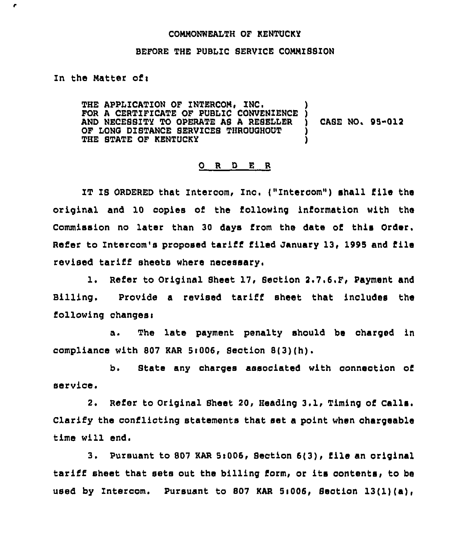## COHHONWEALTH OF KENTUCKY

## BEFORE THE PUBLIC SERVICE COHHISSION

In the Matter of $:$ 

r

THE APPLICATION OF INTERCOM, INC. FOR A CERTIFICATE OF PUBLIC CONVENIENCE AND NECESSZTY TO OPERATE AB A RESELLER OF LONG DISTANCE SERVICES THROUGHOUT THE STATE OF KENTUCKY ) ) CASE NO. 95-012 ) )

## ORDER

IT IS ORDERED that Intercom, Znc. {"Intercom") shall file the original and 10 copies of the following information with the Commission no later than 30 days from the date of this Order. Refer to Intercom's proposed tariff filed January 13, 1995 and file revised tariff sheets where necessary,

1. Refer to Original Sheet 17, Section 2.7.6.F, Payment and Billing. Provide a revised tariff sheet that includes the following changes:

The late payment penalty should be charged in а. compliance with 807 KAR Sr006, Section 8{3){h).

b. State any charges associated with connection of service.

2. Refer to Original Sheet 20, Heading 3.1, Timing of Calls. Clarify the conflicting statements that set a point when ohargeable time will end.

3. Pursuant to 807 KAR 5:006, Section 6(3), file an original tariff sheet that sets out the billing form, or its oontents, to be used by Intercom. Pursuant to 807 KAR 5:006, Section  $13(1)(a)$ ,